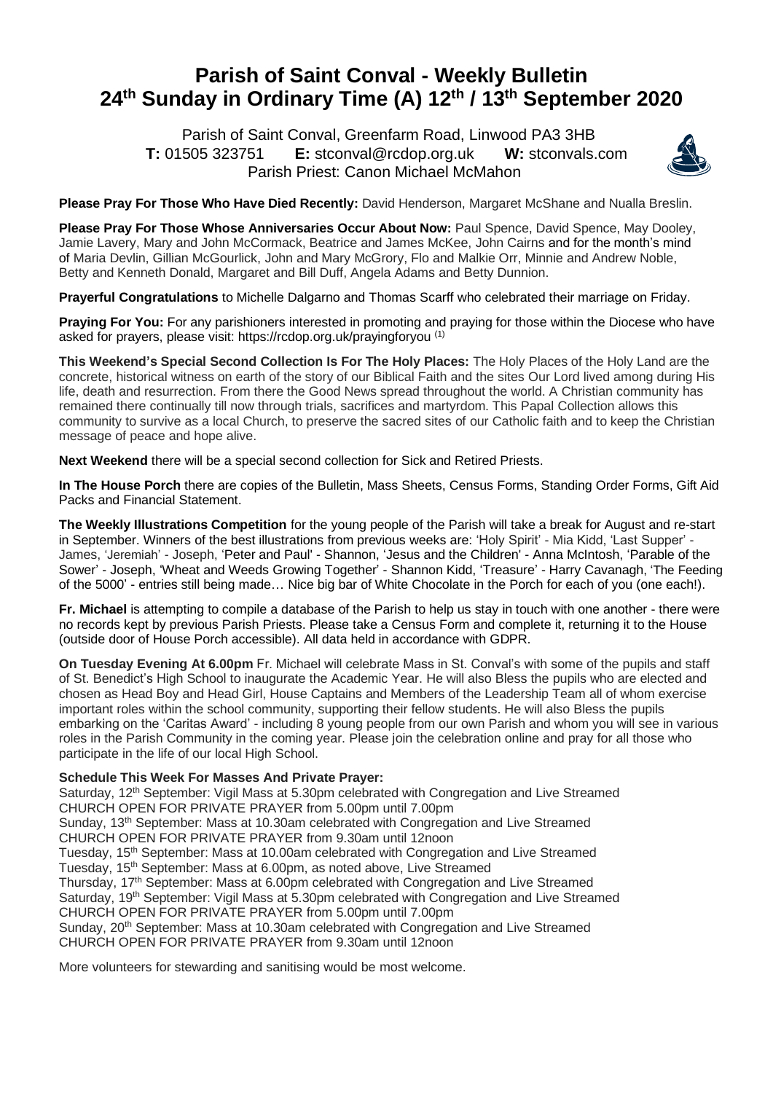## **Parish of Saint Conval - Weekly Bulletin 24 th Sunday in Ordinary Time (A) 12th / 13th September 2020**

 Parish of Saint Conval, Greenfarm Road, Linwood PA3 3HB **T:** 01505 323751 **E:** [stconval@rcdop.org.uk](mailto:stconval@rcdop.org.uk) **W:** stconvals.com Parish Priest: Canon Michael McMahon



**Please Pray For Those Who Have Died Recently:** David Henderson, Margaret McShane and Nualla Breslin.

**Please Pray For Those Whose Anniversaries Occur About Now:** Paul Spence, David Spence, May Dooley, Jamie Lavery, Mary and John McCormack, Beatrice and James McKee, John Cairns and for the month's mind of Maria Devlin, Gillian McGourlick, John and Mary McGrory, Flo and Malkie Orr, Minnie and Andrew Noble, Betty and Kenneth Donald, Margaret and Bill Duff, Angela Adams and Betty Dunnion.

**Prayerful Congratulations** to Michelle Dalgarno and Thomas Scarff who celebrated their marriage on Friday.

**Praying For You:** For any parishioners interested in promoting and praying for those within the Diocese who have asked for prayers, please visit:<https://rcdop.org.uk/prayingforyou> (1)

**This Weekend's Special Second Collection Is For The Holy Places:** The Holy Places of the Holy Land are the concrete, historical witness on earth of the story of our Biblical Faith and the sites Our Lord lived among during His life, death and resurrection. From there the Good News spread throughout the world. A Christian community has remained there continually till now through trials, sacrifices and martyrdom. This Papal Collection allows this community to survive as a local Church, to preserve the sacred sites of our Catholic faith and to keep the Christian message of peace and hope alive.

**Next Weekend** there will be a special second collection for Sick and Retired Priests.

**In The House Porch** there are copies of the Bulletin, Mass Sheets, Census Forms, Standing Order Forms, Gift Aid Packs and Financial Statement.

**The Weekly Illustrations Competition** for the young people of the Parish will take a break for August and re-start in September. Winners of the best illustrations from previous weeks are: 'Holy Spirit' - Mia Kidd, 'Last Supper' - James, 'Jeremiah' - Joseph, 'Peter and Paul' - Shannon, 'Jesus and the Children' - Anna McIntosh, 'Parable of the Sower' - Joseph, 'Wheat and Weeds Growing Together' - Shannon Kidd, 'Treasure' - Harry Cavanagh, 'The Feeding of the 5000' - entries still being made… Nice big bar of White Chocolate in the Porch for each of you (one each!).

**Fr. Michael** is attempting to compile a database of the Parish to help us stay in touch with one another - there were no records kept by previous Parish Priests. Please take a Census Form and complete it, returning it to the House (outside door of House Porch accessible). All data held in accordance with GDPR.

**On Tuesday Evening At 6.00pm** Fr. Michael will celebrate Mass in St. Conval's with some of the pupils and staff of St. Benedict's High School to inaugurate the Academic Year. He will also Bless the pupils who are elected and chosen as Head Boy and Head Girl, House Captains and Members of the Leadership Team all of whom exercise important roles within the school community, supporting their fellow students. He will also Bless the pupils embarking on the 'Caritas Award' - including 8 young people from our own Parish and whom you will see in various roles in the Parish Community in the coming year. Please join the celebration online and pray for all those who participate in the life of our local High School.

## **Schedule This Week For Masses And Private Prayer:**

Saturday, 12<sup>th</sup> September: Vigil Mass at 5.30pm celebrated with Congregation and Live Streamed CHURCH OPEN FOR PRIVATE PRAYER from 5.00pm until 7.00pm

Sunday, 13th September: Mass at 10.30am celebrated with Congregation and Live Streamed

CHURCH OPEN FOR PRIVATE PRAYER from 9.30am until 12noon

Tuesday, 15<sup>th</sup> September: Mass at 10.00am celebrated with Congregation and Live Streamed Tuesday, 15<sup>th</sup> September: Mass at 6.00pm, as noted above, Live Streamed

Thursday, 17<sup>th</sup> September: Mass at 6.00pm celebrated with Congregation and Live Streamed

Saturday, 19<sup>th</sup> September: Vigil Mass at 5.30pm celebrated with Congregation and Live Streamed CHURCH OPEN FOR PRIVATE PRAYER from 5.00pm until 7.00pm

Sunday, 20<sup>th</sup> September: Mass at 10.30am celebrated with Congregation and Live Streamed CHURCH OPEN FOR PRIVATE PRAYER from 9.30am until 12noon

More volunteers for stewarding and sanitising would be most welcome.